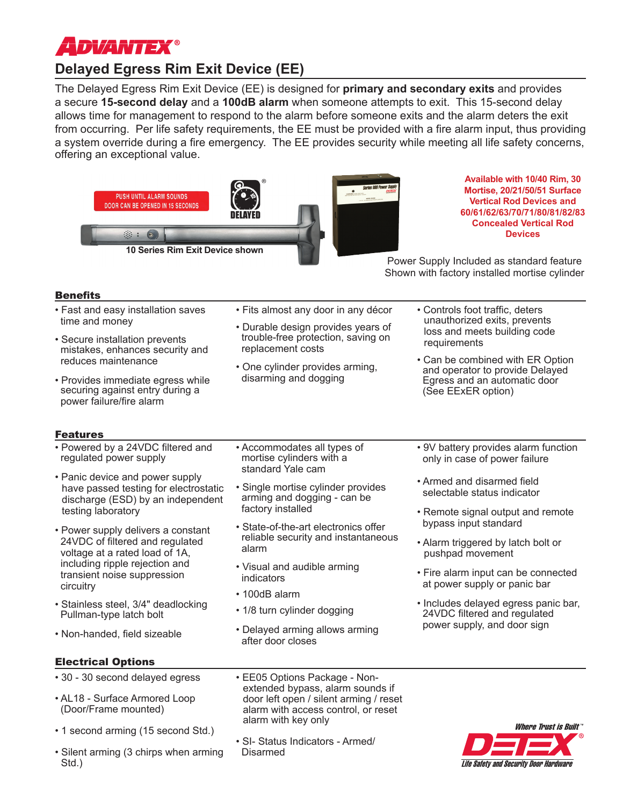

# **Delayed Egress Rim Exit Device (EE)**

The Delayed Egress Rim Exit Device (EE) is designed for **primary and secondary exits** and provides a secure **15-second delay** and a **100dB alarm** when someone attempts to exit. This 15-second delay allows time for management to respond to the alarm before someone exits and the alarm deters the exit from occurring. Per life safety requirements, the EE must be provided with a fire alarm input, thus providing a system override during a fire emergency. The EE provides security while meeting all life safety concerns, offering an exceptional value.



**Available with 10/40 Rim, 30 Mortise, 20/21/50/51 Surface Vertical Rod Devices and 60/61/62/63/70/71/80/81/82/83 Concealed Vertical Rod Devices**

Power Supply Included as standard feature Shown with factory installed mortise cylinder

> • Controls foot traffic, deters unauthorized exits, prevents loss and meets building code

requirements

(See EExER option)

# **Benefits**

- Fast and easy installation saves time and money
- Secure installation prevents mistakes, enhances security and reduces maintenance
- Provides immediate egress while securing against entry during a power failure/fire alarm

# Features

- Powered by a 24VDC filtered and regulated power supply
- Panic device and power supply have passed testing for electrostatic discharge (ESD) by an independent testing laboratory
- Power supply delivers a constant 24VDC of filtered and regulated voltage at a rated load of 1A, including ripple rejection and transient noise suppression circuitry
- Stainless steel, 3/4" deadlocking Pullman-type latch bolt
- Non-handed, field sizeable

• Accommodates all types of mortise cylinders with a standard Yale cam

replacement costs

• Single mortise cylinder provides arming and dogging - can be factory installed

• Fits almost any door in any décor • Durable design provides years of trouble-free protection, saving on

• One cylinder provides arming, disarming and dogging

- State-of-the-art electronics offer reliable security and instantaneous alarm
- Visual and audible arming indicators
- 100dB alarm
- 1/8 turn cylinder dogging
- Delayed arming allows arming after door closes

• 9V battery provides alarm function only in case of power failure

• Can be combined with ER Option and operator to provide Delayed Egress and an automatic door

- Armed and disarmed field selectable status indicator
- Remote signal output and remote bypass input standard
- Alarm triggered by latch bolt or pushpad movement
- Fire alarm input can be connected at power supply or panic bar
- Includes delayed egress panic bar, 24VDC filtered and regulated power supply, and door sign

# Electrical Options

- 30 30 second delayed egress • AL18 - Surface Armored Loop
- (Door/Frame mounted)
- 1 second arming (15 second Std.)
- Silent arming (3 chirps when arming Std.)
- EE05 Options Package Nonextended bypass, alarm sounds if door left open / silent arming / reset alarm with access control, or reset alarm with key only
- SI- Status Indicators Armed/ Disarmed